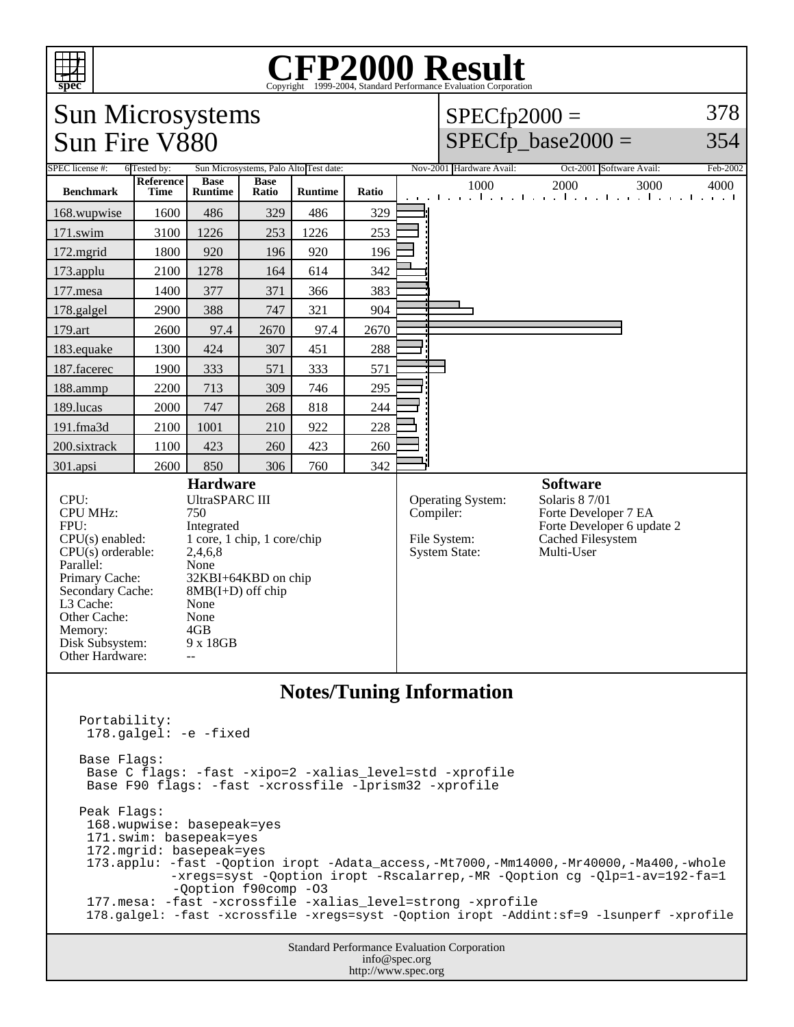| 'nт<br>spec                                                                                                                                                                                                                                                                                                                                                                                                               | <b>CFP2000 Result</b><br>Copyright ©1999-2004, Standard Performance Evaluation Corporation |                |             |                |            |                                                                  |                                                                                                         |                                  |                                                                   |  |
|---------------------------------------------------------------------------------------------------------------------------------------------------------------------------------------------------------------------------------------------------------------------------------------------------------------------------------------------------------------------------------------------------------------------------|--------------------------------------------------------------------------------------------|----------------|-------------|----------------|------------|------------------------------------------------------------------|---------------------------------------------------------------------------------------------------------|----------------------------------|-------------------------------------------------------------------|--|
| 378<br><b>Sun Microsystems</b><br>$SPECfp2000 =$                                                                                                                                                                                                                                                                                                                                                                          |                                                                                            |                |             |                |            |                                                                  |                                                                                                         |                                  |                                                                   |  |
|                                                                                                                                                                                                                                                                                                                                                                                                                           | Sun Fire V880                                                                              |                |             |                |            |                                                                  |                                                                                                         | $SPECfp\_base2000 =$<br>354      |                                                                   |  |
| Sun Microsystems, Palo Alto Test date:                                                                                                                                                                                                                                                                                                                                                                                    |                                                                                            |                |             |                |            |                                                                  |                                                                                                         |                                  |                                                                   |  |
| SPEC license #:                                                                                                                                                                                                                                                                                                                                                                                                           | 6 Tested by:<br>Reference                                                                  | <b>Base</b>    | <b>Base</b> |                |            |                                                                  | Nov-2001 Hardware Avail:<br>1000                                                                        | Oct-2001 Software Avail:<br>2000 | Feb-2002<br>3000<br>4000                                          |  |
| <b>Benchmark</b>                                                                                                                                                                                                                                                                                                                                                                                                          | Time                                                                                       | <b>Runtime</b> | Ratio       | <b>Runtime</b> | Ratio      |                                                                  |                                                                                                         |                                  | a de la califació de la califació de la califació de la califació |  |
| 168.wupwise<br>171.swim                                                                                                                                                                                                                                                                                                                                                                                                   | 1600<br>3100                                                                               | 486<br>1226    | 329<br>253  | 486<br>1226    | 329<br>253 |                                                                  |                                                                                                         |                                  |                                                                   |  |
| 172.mgrid                                                                                                                                                                                                                                                                                                                                                                                                                 | 1800                                                                                       | 920            | 196         | 920            | 196        |                                                                  |                                                                                                         |                                  |                                                                   |  |
| 173.applu                                                                                                                                                                                                                                                                                                                                                                                                                 | 2100                                                                                       | 1278           | 164         | 614            | 342        |                                                                  |                                                                                                         |                                  |                                                                   |  |
| 177.mesa                                                                                                                                                                                                                                                                                                                                                                                                                  | 1400                                                                                       | 377            | 371         | 366            | 383        |                                                                  |                                                                                                         |                                  |                                                                   |  |
| 178.galgel                                                                                                                                                                                                                                                                                                                                                                                                                | 2900                                                                                       | 388            | 747         | 321            | 904        |                                                                  |                                                                                                         |                                  |                                                                   |  |
| 179.art                                                                                                                                                                                                                                                                                                                                                                                                                   | 2600                                                                                       | 97.4           | 2670        | 97.4           | 2670       |                                                                  |                                                                                                         |                                  |                                                                   |  |
| 183.equake                                                                                                                                                                                                                                                                                                                                                                                                                | 1300                                                                                       | 424            | 307         | 451            | 288        |                                                                  |                                                                                                         |                                  |                                                                   |  |
| 187.facerec                                                                                                                                                                                                                                                                                                                                                                                                               | 1900                                                                                       | 333            | 571         | 333            | 571        |                                                                  |                                                                                                         |                                  |                                                                   |  |
| 188.ammp                                                                                                                                                                                                                                                                                                                                                                                                                  | 2200                                                                                       | 713            | 309         | 746            | 295        |                                                                  |                                                                                                         |                                  |                                                                   |  |
| 189.lucas                                                                                                                                                                                                                                                                                                                                                                                                                 | 2000                                                                                       | 747            | 268         | 818            | 244        |                                                                  |                                                                                                         |                                  |                                                                   |  |
| 191.fma3d                                                                                                                                                                                                                                                                                                                                                                                                                 | 2100                                                                                       | 1001           | 210         | 922            | 228        |                                                                  |                                                                                                         |                                  |                                                                   |  |
| 200.sixtrack                                                                                                                                                                                                                                                                                                                                                                                                              | 1100                                                                                       | 423            | 260         | 423            | 260        |                                                                  |                                                                                                         |                                  |                                                                   |  |
| 301.apsi                                                                                                                                                                                                                                                                                                                                                                                                                  | 2600                                                                                       | 850            | 306         | 760            | 342        |                                                                  |                                                                                                         | <b>Software</b>                  |                                                                   |  |
| <b>Hardware</b><br><b>UltraSPARC III</b><br>CPU:<br><b>CPU MHz:</b><br>750<br>FPU:<br>Integrated<br>1 core, 1 chip, 1 core/chip<br>$CPU(s)$ enabled:<br>$CPU(s)$ orderable:<br>2,4,6,8<br>Parallel:<br>None<br>Primary Cache:<br>32KBI+64KBD on chip<br>Secondary Cache:<br>$8MB(I+D)$ off chip<br>L3 Cache:<br>None<br>Other Cache:<br>None<br>4GB<br>Memory:<br>Disk Subsystem:<br>9 x 18GB<br>Other Hardware:<br>$- -$ |                                                                                            |                |             |                | Compiler:  | <b>Operating System:</b><br>File System:<br><b>System State:</b> | Solaris 8 7/01<br>Forte Developer 7 EA<br>Forte Developer 6 update 2<br>Cached Filesystem<br>Multi-User |                                  |                                                                   |  |
| <b>Notes/Tuning Information</b>                                                                                                                                                                                                                                                                                                                                                                                           |                                                                                            |                |             |                |            |                                                                  |                                                                                                         |                                  |                                                                   |  |
| Portability:<br>178.galgel: -e -fixed                                                                                                                                                                                                                                                                                                                                                                                     |                                                                                            |                |             |                |            |                                                                  |                                                                                                         |                                  |                                                                   |  |
| Base Flags:<br>Base C flags: -fast -xipo=2 -xalias_level=std -xprofile<br>Base F90 flags: -fast -xcrossfile -lprism32 -xprofile                                                                                                                                                                                                                                                                                           |                                                                                            |                |             |                |            |                                                                  |                                                                                                         |                                  |                                                                   |  |
| Peak Flags:<br>168.wupwise: basepeak=yes<br>171.swim: basepeak=yes<br>172.mgrid: basepeak=yes<br>173.applu: -fast -Qoption iropt -Adata_access,-Mt7000,-Mm14000,-Mr40000,-Ma400,-whole<br>-xregs=syst -Qoption iropt -Rscalarrep,-MR -Qoption cg -Qlp=1-av=192-fa=1<br>-Qoption f90comp -03                                                                                                                               |                                                                                            |                |             |                |            |                                                                  |                                                                                                         |                                  |                                                                   |  |
| 177.mesa: -fast -xcrossfile -xalias_level=strong -xprofile<br>178.galgel: -fast -xcrossfile -xregs=syst -Qoption iropt -Addint:sf=9 -lsunperf -xprofile                                                                                                                                                                                                                                                                   |                                                                                            |                |             |                |            |                                                                  |                                                                                                         |                                  |                                                                   |  |
| Standard Performance Evaluation Corporation<br>info@spec.org                                                                                                                                                                                                                                                                                                                                                              |                                                                                            |                |             |                |            |                                                                  |                                                                                                         |                                  |                                                                   |  |

http://www.spec.org